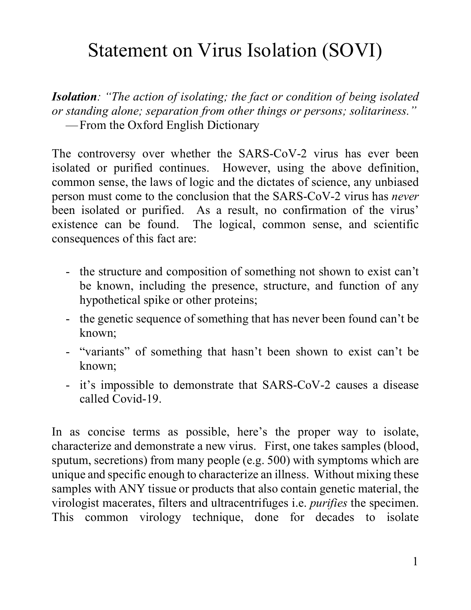## Statement on Virus Isolation (SOVI)

*Isolation: "The action of isolating; the fact or condition of being isolated or standing alone; separation from other things or persons; solitariness."*  —From the Oxford English Dictionary

The controversy over whether the SARS-CoV-2 virus has ever been isolated or purified continues. However, using the above definition, common sense, the laws of logic and the dictates of science, any unbiased person must come to the conclusion that the SARS-CoV-2 virus has *never* been isolated or purified. As a result, no confirmation of the virus' existence can be found. The logical, common sense, and scientific consequences of this fact are:

- the structure and composition of something not shown to exist can't be known, including the presence, structure, and function of any hypothetical spike or other proteins;
- the genetic sequence of something that has never been found can't be known;
- "variants" of something that hasn't been shown to exist can't be known;
- it's impossible to demonstrate that SARS-CoV-2 causes a disease called Covid-19.

In as concise terms as possible, here's the proper way to isolate, characterize and demonstrate a new virus. First, one takes samples (blood, sputum, secretions) from many people (e.g. 500) with symptoms which are unique and specific enough to characterize an illness. Without mixing these samples with ANY tissue or products that also contain genetic material, the virologist macerates, filters and ultracentrifuges i.e. *purifies* the specimen. This common virology technique, done for decades to isolate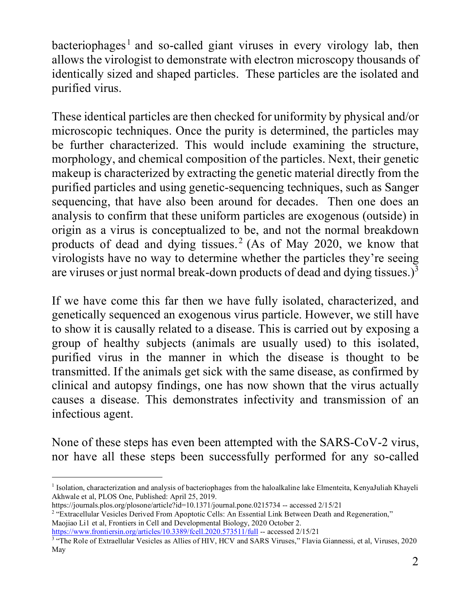bacteriophages<sup>[1](#page-1-0)</sup> and so-called giant viruses in every virology lab, then allows the virologist to demonstrate with electron microscopy thousands of identically sized and shaped particles. These particles are the isolated and purified virus.

These identical particles are then checked for uniformity by physical and/or microscopic techniques. Once the purity is determined, the particles may be further characterized. This would include examining the structure, morphology, and chemical composition of the particles. Next, their genetic makeup is characterized by extracting the genetic material directly from the purified particles and using genetic-sequencing techniques, such as Sanger sequencing, that have also been around for decades. Then one does an analysis to confirm that these uniform particles are exogenous (outside) in origin as a virus is conceptualized to be, and not the normal breakdown products of dead and dying tissues.<sup>[2](#page-1-1)</sup> (As of May 2020, we know that virologists have no way to determine whether the particles they're seeing are viruses or just normal break-down products of dead and dying tissues.) $^3$  $^3$ 

If we have come this far then we have fully isolated, characterized, and genetically sequenced an exogenous virus particle. However, we still have to show it is causally related to a disease. This is carried out by exposing a group of healthy subjects (animals are usually used) to this isolated, purified virus in the manner in which the disease is thought to be transmitted. If the animals get sick with the same disease, as confirmed by clinical and autopsy findings, one has now shown that the virus actually causes a disease. This demonstrates infectivity and transmission of an infectious agent.

None of these steps has even been attempted with the SARS-CoV-2 virus, nor have all these steps been successfully performed for any so-called

<sup>2</sup> "Extracellular Vesicles Derived From Apoptotic Cells: An Essential Link Between Death and Regeneration," Maojiao Li1 et al, Frontiers in Cell and Developmental Biology, 2020 October 2.

<span id="page-1-0"></span><sup>&</sup>lt;sup>1</sup> Isolation, characterization and analysis of bacteriophages from the haloalkaline lake Elmenteita, KenyaJuliah Khayeli Akhwale et al, PLOS One, Published: April 25, 2019.<br>https://journals.plos.org/plosone/article?id=10.1371/journal.pone.0215734 -- accessed 2/15/21

<span id="page-1-1"></span>

<span id="page-1-2"></span>https://www.frontiersin.org/articles/10.3389/fcell.2020.573511/full -- accessed 2/15/21<br><sup>3</sup> "The Role of Extraellular Vesicles as Allies of HIV, HCV and SARS Viruses," Flavia Giannessi, et al, Viruses, 2020 May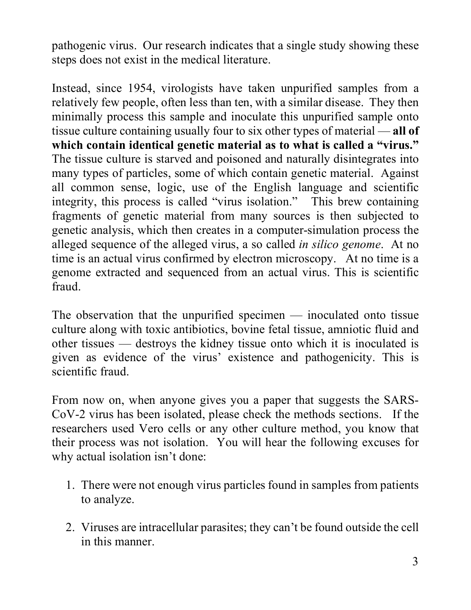pathogenic virus. Our research indicates that a single study showing these steps does not exist in the medical literature.

Instead, since 1954, virologists have taken unpurified samples from a relatively few people, often less than ten, with a similar disease. They then minimally process this sample and inoculate this unpurified sample onto tissue culture containing usually four to six other types of material — **all of which contain identical genetic material as to what is called a "virus."** The tissue culture is starved and poisoned and naturally disintegrates into many types of particles, some of which contain genetic material. Against all common sense, logic, use of the English language and scientific integrity, this process is called "virus isolation." This brew containing fragments of genetic material from many sources is then subjected to genetic analysis, which then creates in a computer-simulation process the alleged sequence of the alleged virus, a so called *in silico genome*. At no time is an actual virus confirmed by electron microscopy. At no time is a genome extracted and sequenced from an actual virus. This is scientific fraud.

The observation that the unpurified specimen — inoculated onto tissue culture along with toxic antibiotics, bovine fetal tissue, amniotic fluid and other tissues — destroys the kidney tissue onto which it is inoculated is given as evidence of the virus' existence and pathogenicity. This is scientific fraud.

From now on, when anyone gives you a paper that suggests the SARS-CoV-2 virus has been isolated, please check the methods sections. If the researchers used Vero cells or any other culture method, you know that their process was not isolation. You will hear the following excuses for why actual isolation isn't done:

- 1. There were not enough virus particles found in samples from patients to analyze.
- 2. Viruses are intracellular parasites; they can't be found outside the cell in this manner.